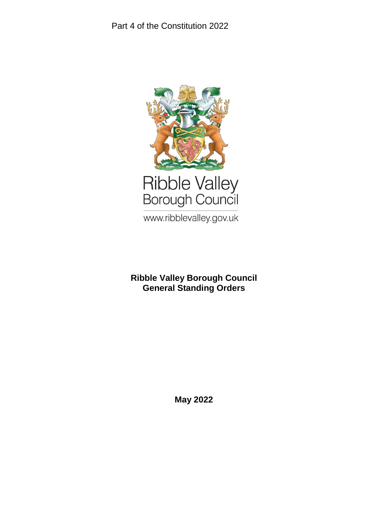

www.ribblevalley.gov.uk

# **Ribble Valley Borough Council General Standing Orders**

**May 2022**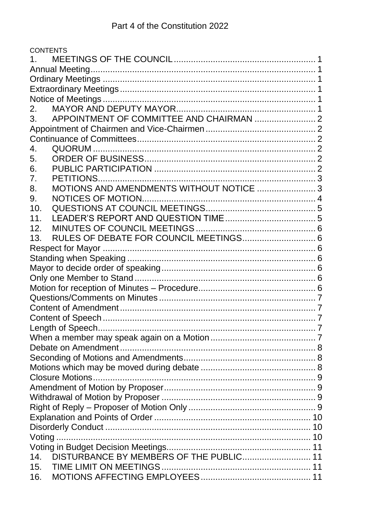|                 | <b>CONTENTS</b>                             |  |
|-----------------|---------------------------------------------|--|
|                 |                                             |  |
|                 |                                             |  |
|                 |                                             |  |
|                 |                                             |  |
|                 |                                             |  |
| 2.              |                                             |  |
| 3.              |                                             |  |
|                 |                                             |  |
|                 |                                             |  |
| 4.              |                                             |  |
| 5.              |                                             |  |
| 6.              |                                             |  |
| 7.              | PETITIONS.                                  |  |
| 8.              | MOTIONS AND AMENDMENTS WITHOUT NOTICE  3    |  |
| 9.              | NOTICES OF MOTION.                          |  |
| 10.             |                                             |  |
| 11 <sub>1</sub> |                                             |  |
| 12.             |                                             |  |
| 13.             | RULES OF DEBATE FOR COUNCIL MEETINGS 6      |  |
|                 |                                             |  |
|                 |                                             |  |
|                 |                                             |  |
|                 |                                             |  |
|                 |                                             |  |
|                 |                                             |  |
|                 |                                             |  |
|                 |                                             |  |
|                 |                                             |  |
|                 |                                             |  |
|                 |                                             |  |
|                 |                                             |  |
|                 |                                             |  |
|                 |                                             |  |
|                 |                                             |  |
|                 |                                             |  |
|                 |                                             |  |
|                 |                                             |  |
|                 |                                             |  |
|                 |                                             |  |
|                 |                                             |  |
|                 | 14. DISTURBANCE BY MEMBERS OF THE PUBLIC 11 |  |
| 15.             |                                             |  |
| 16.             |                                             |  |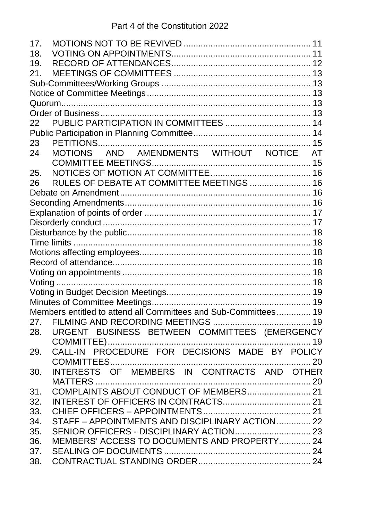| 17. |                                                                 |  |
|-----|-----------------------------------------------------------------|--|
| 18. |                                                                 |  |
| 19. |                                                                 |  |
| 21. |                                                                 |  |
|     |                                                                 |  |
|     |                                                                 |  |
|     |                                                                 |  |
|     |                                                                 |  |
| 22  |                                                                 |  |
|     |                                                                 |  |
| 23  |                                                                 |  |
| 24  | MOTIONS AND AMENDMENTS WITHOUT NOTICE AT                        |  |
|     |                                                                 |  |
| 25. |                                                                 |  |
| 26  | RULES OF DEBATE AT COMMITTEE MEETINGS  16                       |  |
|     |                                                                 |  |
|     |                                                                 |  |
|     |                                                                 |  |
|     |                                                                 |  |
|     |                                                                 |  |
|     |                                                                 |  |
|     |                                                                 |  |
|     |                                                                 |  |
|     |                                                                 |  |
|     |                                                                 |  |
|     |                                                                 |  |
|     |                                                                 |  |
|     | Members entitled to attend all Committees and Sub-Committees 19 |  |
|     |                                                                 |  |
| 28. | URGENT BUSINESS BETWEEN COMMITTEES (EMERGENCY                   |  |
|     |                                                                 |  |
| 29. | CALL-IN PROCEDURE FOR DECISIONS MADE BY POLICY                  |  |
|     |                                                                 |  |
| 30. | INTERESTS OF MEMBERS IN CONTRACTS AND OTHER                     |  |
|     |                                                                 |  |
| 31. | COMPLAINTS ABOUT CONDUCT OF MEMBERS 21                          |  |
| 32. |                                                                 |  |
| 33. |                                                                 |  |
| 34. | STAFF - APPOINTMENTS AND DISCIPLINARY ACTION 22                 |  |
| 35. |                                                                 |  |
| 36. | MEMBERS' ACCESS TO DOCUMENTS AND PROPERTY 24                    |  |
| 37. |                                                                 |  |
| 38. |                                                                 |  |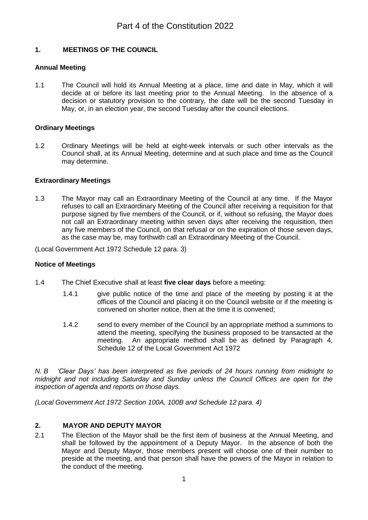## <span id="page-4-0"></span>**1. MEETINGS OF THE COUNCIL**

## <span id="page-4-1"></span>**Annual Meeting**

1.1 The Council will hold its Annual Meeting at a place, time and date in May, which it will decide at or before its last meeting prior to the Annual Meeting. In the absence of a decision or statutory provision to the contrary, the date will be the second Tuesday in May, or, in an election year, the second Tuesday after the council elections.

## <span id="page-4-2"></span>**Ordinary Meetings**

1.2 Ordinary Meetings will be held at eight-week intervals or such other intervals as the Council shall, at its Annual Meeting, determine and at such place and time as the Council may determine.

## <span id="page-4-3"></span>**Extraordinary Meetings**

1.3 The Mayor may call an Extraordinary Meeting of the Council at any time. If the Mayor refuses to call an Extraordinary Meeting of the Council after receiving a requisition for that purpose signed by five members of the Council, or if, without so refusing, the Mayor does not call an Extraordinary meeting within seven days after receiving the requisition, then any five members of the Council, on that refusal or on the expiration of those seven days, as the case may be, may forthwith call an Extraordinary Meeting of the Council.

(Local Government Act 1972 Schedule 12 para. 3)

## <span id="page-4-4"></span>**Notice of Meetings**

- 1.4 The Chief Executive shall at least **five clear days** before a meeting:
	- 1.4.1 give public notice of the time and place of the meeting by posting it at the offices of the Council and placing it on the Council website or if the meeting is convened on shorter notice, then at the time it is convened;
	- 1.4.2 send to every member of the Council by an appropriate method a summons to attend the meeting, specifying the business proposed to be transacted at the meeting. An appropriate method shall be as defined by Paragraph 4, Schedule 12 of the Local Government Act 1972

*N. B 'Clear Days' has been interpreted as five periods of 24 hours running from midnight to midnight and not including Saturday and Sunday unless the Council Offices are open for the inspection of agenda and reports on those days.*

*(Local Government Act 1972 Section 100A, 100B and Schedule 12 para. 4)*

## <span id="page-4-5"></span>**2. MAYOR AND DEPUTY MAYOR**

2.1 The Election of the Mayor shall be the first item of business at the Annual Meeting, and shall be followed by the appointment of a Deputy Mayor. In the absence of both the Mayor and Deputy Mayor, those members present will choose one of their number to preside at the meeting, and that person shall have the powers of the Mayor in relation to the conduct of the meeting.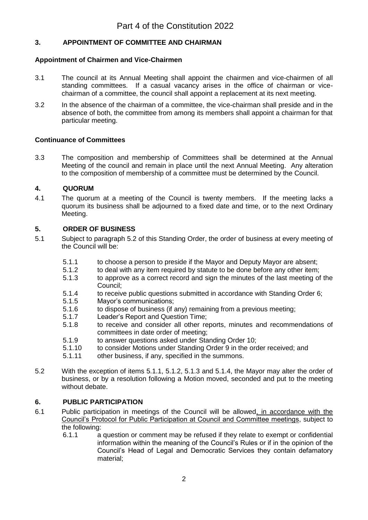## <span id="page-5-0"></span>**3. APPOINTMENT OF COMMITTEE AND CHAIRMAN**

### <span id="page-5-1"></span>**Appointment of Chairmen and Vice-Chairmen**

- 3.1 The council at its Annual Meeting shall appoint the chairmen and vice-chairmen of all standing committees. If a casual vacancy arises in the office of chairman or vicechairman of a committee, the council shall appoint a replacement at its next meeting.
- 3.2 In the absence of the chairman of a committee, the vice-chairman shall preside and in the absence of both, the committee from among its members shall appoint a chairman for that particular meeting.

## <span id="page-5-2"></span>**Continuance of Committees**

3.3 The composition and membership of Committees shall be determined at the Annual Meeting of the council and remain in place until the next Annual Meeting. Any alteration to the composition of membership of a committee must be determined by the Council.

## <span id="page-5-3"></span>**4. QUORUM**

4.1 The quorum at a meeting of the Council is twenty members. If the meeting lacks a quorum its business shall be adjourned to a fixed date and time, or to the next Ordinary Meeting.

### <span id="page-5-4"></span>**5. ORDER OF BUSINESS**

- 5.1 Subject to paragraph 5.2 of this Standing Order, the order of business at every meeting of the Council will be:
	- 5.1.1 to choose a person to preside if the Mayor and Deputy Mayor are absent;
	- 5.1.2 to deal with any item required by statute to be done before any other item;
	- 5.1.3 to approve as a correct record and sign the minutes of the last meeting of the Council;
	- 5.1.4 to receive public questions submitted in accordance with Standing Order 6;
	- 5.1.5 Mayor's communications;
	- 5.1.6 to dispose of business (if any) remaining from a previous meeting;
	- 5.1.7 Leader's Report and Question Time;<br>5.1.8 to receive and consider all other re
	- to receive and consider all other reports, minutes and recommendations of committees in date order of meeting;
	- 5.1.9 to answer questions asked under Standing Order 10;
	- 5.1.10 to consider Motions under Standing Order 9 in the order received; and
	- 5.1.11 other business, if any, specified in the summons.
- 5.2 With the exception of items 5.1.1, 5.1.2, 5.1.3 and 5.1.4, the Mayor may alter the order of business, or by a resolution following a Motion moved, seconded and put to the meeting without debate.

### <span id="page-5-5"></span>**6. PUBLIC PARTICIPATION**

- 6.1 Public participation in meetings of the Council will be allowed, in accordance with the Council's Protocol for Public Participation at Council and Committee meetings, subject to the following:
	- 6.1.1 a question or comment may be refused if they relate to exempt or confidential information within the meaning of the Council's Rules or if in the opinion of the Council's Head of Legal and Democratic Services they contain defamatory material;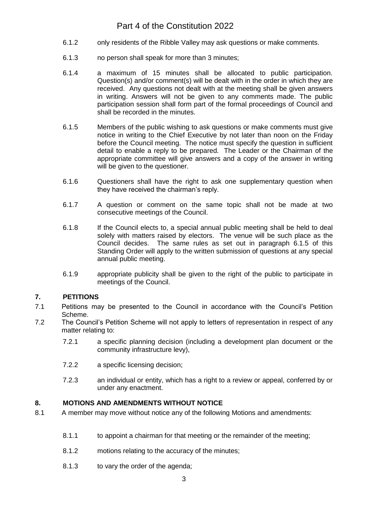- 6.1.2 only residents of the Ribble Valley may ask questions or make comments.
- 6.1.3 no person shall speak for more than 3 minutes;
- 6.1.4 a maximum of 15 minutes shall be allocated to public participation. Question(s) and/or comment(s) will be dealt with in the order in which they are received. Any questions not dealt with at the meeting shall be given answers in writing. Answers will not be given to any comments made. The public participation session shall form part of the formal proceedings of Council and shall be recorded in the minutes.
- 6.1.5 Members of the public wishing to ask questions or make comments must give notice in writing to the Chief Executive by not later than noon on the Friday before the Council meeting. The notice must specify the question in sufficient detail to enable a reply to be prepared. The Leader or the Chairman of the appropriate committee will give answers and a copy of the answer in writing will be given to the questioner.
- 6.1.6 Questioners shall have the right to ask one supplementary question when they have received the chairman's reply.
- 6.1.7 A question or comment on the same topic shall not be made at two consecutive meetings of the Council.
- 6.1.8 If the Council elects to, a special annual public meeting shall be held to deal solely with matters raised by electors. The venue will be such place as the Council decides. The same rules as set out in paragraph 6.1.5 of this Standing Order will apply to the written submission of questions at any special annual public meeting.
- 6.1.9 appropriate publicity shall be given to the right of the public to participate in meetings of the Council.

## <span id="page-6-0"></span>**7. PETITIONS**

- 7.1 Petitions may be presented to the Council in accordance with the Council's Petition Scheme.
- 7.2 The Council's Petition Scheme will not apply to letters of representation in respect of any matter relating to:
	- 7.2.1 a specific planning decision (including a development plan document or the community infrastructure levy),
	- 7.2.2 a specific licensing decision;
	- 7.2.3 an individual or entity, which has a right to a review or appeal, conferred by or under any enactment.

## <span id="page-6-1"></span>**8. MOTIONS AND AMENDMENTS WITHOUT NOTICE**

- 8.1 A member may move without notice any of the following Motions and amendments:
	- 8.1.1 to appoint a chairman for that meeting or the remainder of the meeting;
	- 8.1.2 motions relating to the accuracy of the minutes;
	- 8.1.3 to vary the order of the agenda;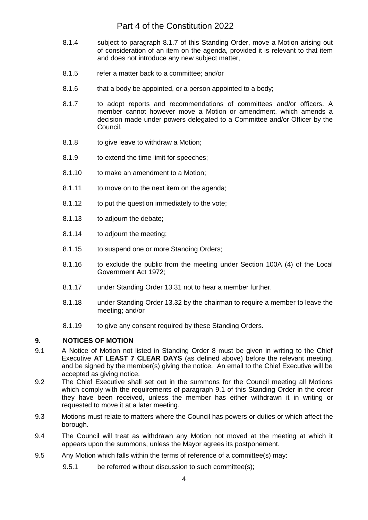- 8.1.4 subject to paragraph 8.1.7 of this Standing Order, move a Motion arising out of consideration of an item on the agenda, provided it is relevant to that item and does not introduce any new subject matter,
- 8.1.5 refer a matter back to a committee; and/or
- 8.1.6 that a body be appointed, or a person appointed to a body;
- 8.1.7 to adopt reports and recommendations of committees and/or officers. A member cannot however move a Motion or amendment, which amends a decision made under powers delegated to a Committee and/or Officer by the Council.
- 8.1.8 to give leave to withdraw a Motion;
- 8.1.9 to extend the time limit for speeches;
- 8.1.10 to make an amendment to a Motion;
- 8.1.11 to move on to the next item on the agenda;
- 8.1.12 to put the question immediately to the vote;
- 8.1.13 to adjourn the debate;
- 8.1.14 to adjourn the meeting;
- 8.1.15 to suspend one or more Standing Orders;
- 8.1.16 to exclude the public from the meeting under Section 100A (4) of the Local Government Act 1972;
- 8.1.17 under Standing Order 13.31 not to hear a member further.
- 8.1.18 under Standing Order 13.32 by the chairman to require a member to leave the meeting; and/or
- 8.1.19 to give any consent required by these Standing Orders.

### <span id="page-7-0"></span>**9. NOTICES OF MOTION**

- 9.1 A Notice of Motion not listed in Standing Order 8 must be given in writing to the Chief Executive **AT LEAST 7 CLEAR DAYS** (as defined above) before the relevant meeting, and be signed by the member(s) giving the notice. An email to the Chief Executive will be accepted as giving notice.
- 9.2 The Chief Executive shall set out in the summons for the Council meeting all Motions which comply with the requirements of paragraph 9.1 of this Standing Order in the order they have been received, unless the member has either withdrawn it in writing or requested to move it at a later meeting.
- 9.3 Motions must relate to matters where the Council has powers or duties or which affect the borough.
- 9.4 The Council will treat as withdrawn any Motion not moved at the meeting at which it appears upon the summons, unless the Mayor agrees its postponement.
- 9.5 Any Motion which falls within the terms of reference of a committee(s) may:
	- 9.5.1 be referred without discussion to such committee(s):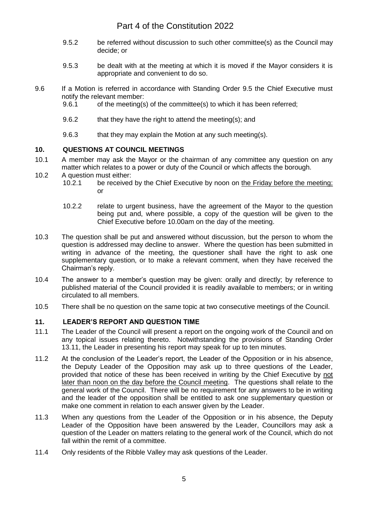- 9.5.2 be referred without discussion to such other committee(s) as the Council may decide; or
- 9.5.3 be dealt with at the meeting at which it is moved if the Mayor considers it is appropriate and convenient to do so.
- 9.6 If a Motion is referred in accordance with Standing Order 9.5 the Chief Executive must notify the relevant member:
	- 9.6.1 of the meeting(s) of the committee(s) to which it has been referred;
	- 9.6.2 that they have the right to attend the meeting(s); and
	- 9.6.3 that they may explain the Motion at any such meeting(s).

## <span id="page-8-0"></span>**10. QUESTIONS AT COUNCIL MEETINGS**

- 10.1 A member may ask the Mayor or the chairman of any committee any question on any matter which relates to a power or duty of the Council or which affects the borough.
- 10.2 A question must either:
	- 10.2.1 be received by the Chief Executive by noon on the Friday before the meeting; or
	- 10.2.2 relate to urgent business, have the agreement of the Mayor to the question being put and, where possible, a copy of the question will be given to the Chief Executive before 10.00am on the day of the meeting.
- 10.3 The question shall be put and answered without discussion, but the person to whom the question is addressed may decline to answer. Where the question has been submitted in writing in advance of the meeting, the questioner shall have the right to ask one supplementary question, or to make a relevant comment, when they have received the Chairman's reply.
- 10.4 The answer to a member's question may be given: orally and directly; by reference to published material of the Council provided it is readily available to members; or in writing circulated to all members.
- 10.5 There shall be no question on the same topic at two consecutive meetings of the Council.

## <span id="page-8-1"></span>**11. LEADER'S REPORT AND QUESTION TIME**

- 11.1 The Leader of the Council will present a report on the ongoing work of the Council and on any topical issues relating thereto. Notwithstanding the provisions of Standing Order 13.11, the Leader in presenting his report may speak for up to ten minutes.
- 11.2 At the conclusion of the Leader's report, the Leader of the Opposition or in his absence, the Deputy Leader of the Opposition may ask up to three questions of the Leader, provided that notice of these has been received in writing by the Chief Executive by not later than noon on the day before the Council meeting. The questions shall relate to the general work of the Council. There will be no requirement for any answers to be in writing and the leader of the opposition shall be entitled to ask one supplementary question or make one comment in relation to each answer given by the Leader.
- 11.3 When any questions from the Leader of the Opposition or in his absence, the Deputy Leader of the Opposition have been answered by the Leader, Councillors may ask a question of the Leader on matters relating to the general work of the Council, which do not fall within the remit of a committee.
- 11.4 Only residents of the Ribble Valley may ask questions of the Leader.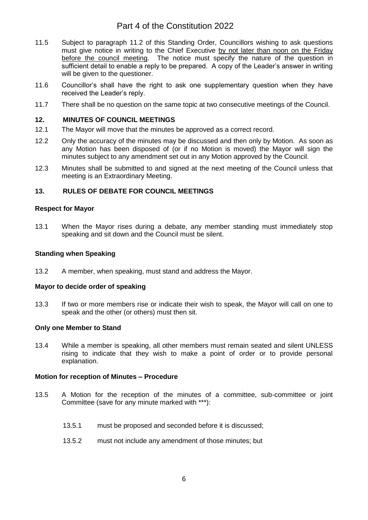- 11.5 Subject to paragraph 11.2 of this Standing Order, Councillors wishing to ask questions must give notice in writing to the Chief Executive by not later than noon on the Friday before the council meeting. The notice must specify the nature of the question in sufficient detail to enable a reply to be prepared. A copy of the Leader's answer in writing will be given to the questioner.
- 11.6 Councillor's shall have the right to ask one supplementary question when they have received the Leader's reply.
- 11.7 There shall be no question on the same topic at two consecutive meetings of the Council.

### <span id="page-9-0"></span>**12. MINUTES OF COUNCIL MEETINGS**

- 12.1 The Mayor will move that the minutes be approved as a correct record.
- 12.2 Only the accuracy of the minutes may be discussed and then only by Motion. As soon as any Motion has been disposed of (or if no Motion is moved) the Mayor will sign the minutes subject to any amendment set out in any Motion approved by the Council.
- 12.3 Minutes shall be submitted to and signed at the next meeting of the Council unless that meeting is an Extraordinary Meeting.

## <span id="page-9-1"></span>**13. RULES OF DEBATE FOR COUNCIL MEETINGS**

### <span id="page-9-2"></span>**Respect for Mayor**

13.1 When the Mayor rises during a debate, any member standing must immediately stop speaking and sit down and the Council must be silent.

### <span id="page-9-3"></span>**Standing when Speaking**

13.2 A member, when speaking, must stand and address the Mayor.

### <span id="page-9-4"></span>**Mayor to decide order of speaking**

13.3 If two or more members rise or indicate their wish to speak, the Mayor will call on one to speak and the other (or others) must then sit.

### <span id="page-9-5"></span>**Only one Member to Stand**

13.4 While a member is speaking, all other members must remain seated and silent UNLESS rising to indicate that they wish to make a point of order or to provide personal explanation.

### <span id="page-9-6"></span>**Motion for reception of Minutes – Procedure**

- 13.5 A Motion for the reception of the minutes of a committee, sub-committee or joint Committee (save for any minute marked with \*\*\*):
	- 13.5.1 must be proposed and seconded before it is discussed;
	- 13.5.2 must not include any amendment of those minutes; but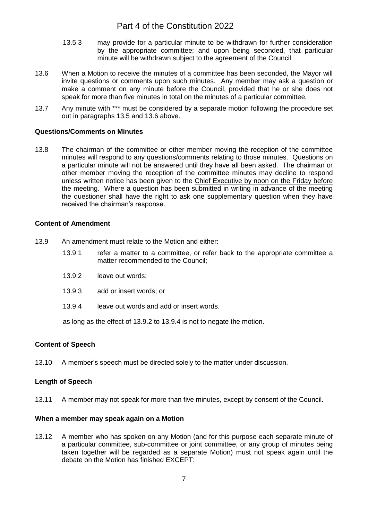- 13.5.3 may provide for a particular minute to be withdrawn for further consideration by the appropriate committee; and upon being seconded, that particular minute will be withdrawn subject to the agreement of the Council.
- 13.6 When a Motion to receive the minutes of a committee has been seconded, the Mayor will invite questions or comments upon such minutes. Any member may ask a question or make a comment on any minute before the Council, provided that he or she does not speak for more than five minutes in total on the minutes of a particular committee.
- 13.7 Any minute with \*\*\* must be considered by a separate motion following the procedure set out in paragraphs 13.5 and 13.6 above.

## <span id="page-10-0"></span>**Questions/Comments on Minutes**

13.8 The chairman of the committee or other member moving the reception of the committee minutes will respond to any questions/comments relating to those minutes. Questions on a particular minute will not be answered until they have all been asked. The chairman or other member moving the reception of the committee minutes may decline to respond unless written notice has been given to the Chief Executive by noon on the Friday before the meeting. Where a question has been submitted in writing in advance of the meeting the questioner shall have the right to ask one supplementary question when they have received the chairman's response.

### <span id="page-10-1"></span>**Content of Amendment**

- 13.9 An amendment must relate to the Motion and either:
	- 13.9.1 refer a matter to a committee, or refer back to the appropriate committee a matter recommended to the Council;
	- 13.9.2 leave out words;
	- 13.9.3 add or insert words; or
	- 13.9.4 leave out words and add or insert words.

as long as the effect of 13.9.2 to 13.9.4 is not to negate the motion.

## <span id="page-10-2"></span>**Content of Speech**

13.10 A member's speech must be directed solely to the matter under discussion.

## <span id="page-10-3"></span>**Length of Speech**

13.11 A member may not speak for more than five minutes, except by consent of the Council.

### <span id="page-10-4"></span>**When a member may speak again on a Motion**

13.12 A member who has spoken on any Motion (and for this purpose each separate minute of a particular committee, sub-committee or joint committee, or any group of minutes being taken together will be regarded as a separate Motion) must not speak again until the debate on the Motion has finished EXCEPT: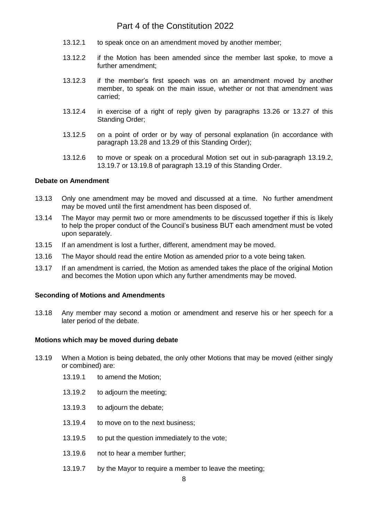- 13.12.1 to speak once on an amendment moved by another member;
- 13.12.2 if the Motion has been amended since the member last spoke, to move a further amendment;
- 13.12.3 if the member's first speech was on an amendment moved by another member, to speak on the main issue, whether or not that amendment was carried;
- 13.12.4 in exercise of a right of reply given by paragraphs 13.26 or 13.27 of this Standing Order;
- 13.12.5 on a point of order or by way of personal explanation (in accordance with paragraph 13.28 and 13.29 of this Standing Order);
- 13.12.6 to move or speak on a procedural Motion set out in sub-paragraph 13.19.2, 13.19.7 or 13.19.8 of paragraph 13.19 of this Standing Order.

### <span id="page-11-0"></span>**Debate on Amendment**

- 13.13 Only one amendment may be moved and discussed at a time. No further amendment may be moved until the first amendment has been disposed of.
- 13.14 The Mayor may permit two or more amendments to be discussed together if this is likely to help the proper conduct of the Council's business BUT each amendment must be voted upon separately.
- 13.15 If an amendment is lost a further, different, amendment may be moved.
- 13.16 The Mayor should read the entire Motion as amended prior to a vote being taken.
- 13.17 If an amendment is carried, the Motion as amended takes the place of the original Motion and becomes the Motion upon which any further amendments may be moved.

### <span id="page-11-1"></span>**Seconding of Motions and Amendments**

13.18 Any member may second a motion or amendment and reserve his or her speech for a later period of the debate.

### <span id="page-11-2"></span>**Motions which may be moved during debate**

- 13.19 When a Motion is being debated, the only other Motions that may be moved (either singly or combined) are:
	- 13.19.1 to amend the Motion;
	- 13.19.2 to adjourn the meeting;
	- 13.19.3 to adjourn the debate;
	- 13.19.4 to move on to the next business;
	- 13.19.5 to put the question immediately to the vote;
	- 13.19.6 not to hear a member further;
	- 13.19.7 by the Mayor to require a member to leave the meeting;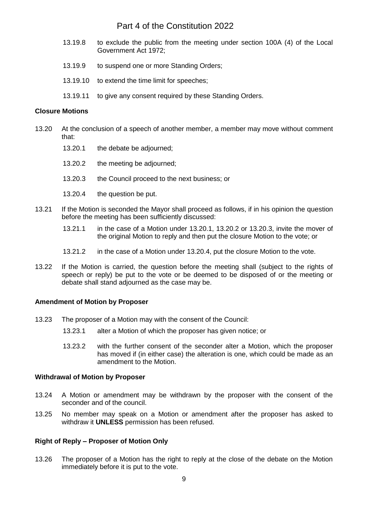- 13.19.8 to exclude the public from the meeting under section 100A (4) of the Local Government Act 1972;
- 13.19.9 to suspend one or more Standing Orders;
- 13.19.10 to extend the time limit for speeches;
- 13.19.11 to give any consent required by these Standing Orders.

### <span id="page-12-0"></span>**Closure Motions**

- 13.20 At the conclusion of a speech of another member, a member may move without comment that:
	- 13.20.1 the debate be adjourned;
	- 13.20.2 the meeting be adjourned;
	- 13.20.3 the Council proceed to the next business; or
	- 13.20.4 the question be put.
- 13.21 If the Motion is seconded the Mayor shall proceed as follows, if in his opinion the question before the meeting has been sufficiently discussed:
	- 13.21.1 in the case of a Motion under 13.20.1, 13.20.2 or 13.20.3, invite the mover of the original Motion to reply and then put the closure Motion to the vote; or
	- 13.21.2 in the case of a Motion under 13.20.4, put the closure Motion to the vote.
- 13.22 If the Motion is carried, the question before the meeting shall (subject to the rights of speech or reply) be put to the vote or be deemed to be disposed of or the meeting or debate shall stand adjourned as the case may be.

### <span id="page-12-1"></span>**Amendment of Motion by Proposer**

- 13.23 The proposer of a Motion may with the consent of the Council:
	- 13.23.1 alter a Motion of which the proposer has given notice; or
	- 13.23.2 with the further consent of the seconder alter a Motion, which the proposer has moved if (in either case) the alteration is one, which could be made as an amendment to the Motion.

### <span id="page-12-2"></span>**Withdrawal of Motion by Proposer**

- 13.24 A Motion or amendment may be withdrawn by the proposer with the consent of the seconder and of the council.
- 13.25 No member may speak on a Motion or amendment after the proposer has asked to withdraw it **UNLESS** permission has been refused.

## <span id="page-12-3"></span>**Right of Reply – Proposer of Motion Only**

13.26 The proposer of a Motion has the right to reply at the close of the debate on the Motion immediately before it is put to the vote.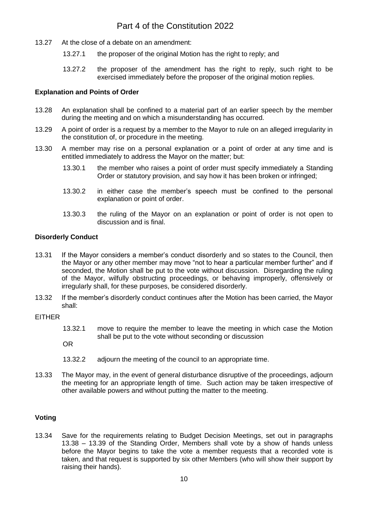- 13.27 At the close of a debate on an amendment:
	- 13.27.1 the proposer of the original Motion has the right to reply; and
	- 13.27.2 the proposer of the amendment has the right to reply, such right to be exercised immediately before the proposer of the original motion replies.

### <span id="page-13-0"></span>**Explanation and Points of Order**

- 13.28 An explanation shall be confined to a material part of an earlier speech by the member during the meeting and on which a misunderstanding has occurred.
- 13.29 A point of order is a request by a member to the Mayor to rule on an alleged irregularity in the constitution of, or procedure in the meeting.
- 13.30 A member may rise on a personal explanation or a point of order at any time and is entitled immediately to address the Mayor on the matter; but:
	- 13.30.1 the member who raises a point of order must specify immediately a Standing Order or statutory provision, and say how it has been broken or infringed;
	- 13.30.2 in either case the member's speech must be confined to the personal explanation or point of order.
	- 13.30.3 the ruling of the Mayor on an explanation or point of order is not open to discussion and is final.

### <span id="page-13-1"></span>**Disorderly Conduct**

- 13.31 If the Mayor considers a member's conduct disorderly and so states to the Council, then the Mayor or any other member may move "not to hear a particular member further" and if seconded, the Motion shall be put to the vote without discussion. Disregarding the ruling of the Mayor, wilfully obstructing proceedings, or behaving improperly, offensively or irregularly shall, for these purposes, be considered disorderly.
- 13.32 If the member's disorderly conduct continues after the Motion has been carried, the Mayor shall:

### EITHER

- 13.32.1 move to require the member to leave the meeting in which case the Motion shall be put to the vote without seconding or discussion
- OR
- 13.32.2 adjourn the meeting of the council to an appropriate time.
- 13.33 The Mayor may, in the event of general disturbance disruptive of the proceedings, adjourn the meeting for an appropriate length of time. Such action may be taken irrespective of other available powers and without putting the matter to the meeting.

## <span id="page-13-2"></span>**Voting**

13.34 Save for the requirements relating to Budget Decision Meetings, set out in paragraphs 13.38 – 13.39 of the Standing Order, Members shall vote by a show of hands unless before the Mayor begins to take the vote a member requests that a recorded vote is taken, and that request is supported by six other Members (who will show their support by raising their hands).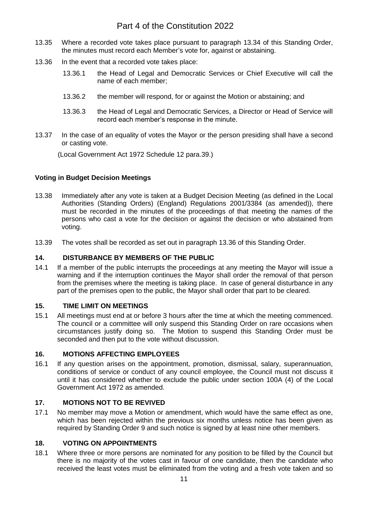- 13.35 Where a recorded vote takes place pursuant to paragraph 13.34 of this Standing Order, the minutes must record each Member's vote for, against or abstaining.
- 13.36 In the event that a recorded vote takes place:
	- 13.36.1 the Head of Legal and Democratic Services or Chief Executive will call the name of each member;
	- 13.36.2 the member will respond, for or against the Motion or abstaining; and
	- 13.36.3 the Head of Legal and Democratic Services, a Director or Head of Service will record each member's response in the minute.
- 13.37 In the case of an equality of votes the Mayor or the person presiding shall have a second or casting vote.

(Local Government Act 1972 Schedule 12 para.39.)

## <span id="page-14-0"></span>**Voting in Budget Decision Meetings**

- 13.38 Immediately after any vote is taken at a Budget Decision Meeting (as defined in the Local Authorities (Standing Orders) (England) Regulations 2001/3384 (as amended)), there must be recorded in the minutes of the proceedings of that meeting the names of the persons who cast a vote for the decision or against the decision or who abstained from voting.
- 13.39 The votes shall be recorded as set out in paragraph 13.36 of this Standing Order.

### <span id="page-14-1"></span>**14. DISTURBANCE BY MEMBERS OF THE PUBLIC**

14.1 If a member of the public interrupts the proceedings at any meeting the Mayor will issue a warning and if the interruption continues the Mayor shall order the removal of that person from the premises where the meeting is taking place. In case of general disturbance in any part of the premises open to the public, the Mayor shall order that part to be cleared.

### <span id="page-14-2"></span>**15. TIME LIMIT ON MEETINGS**

15.1 All meetings must end at or before 3 hours after the time at which the meeting commenced. The council or a committee will only suspend this Standing Order on rare occasions when circumstances justify doing so. The Motion to suspend this Standing Order must be seconded and then put to the vote without discussion.

### <span id="page-14-3"></span>**16. MOTIONS AFFECTING EMPLOYEES**

16.1 If any question arises on the appointment, promotion, dismissal, salary, superannuation, conditions of service or conduct of any council employee, the Council must not discuss it until it has considered whether to exclude the public under section 100A (4) of the Local Government Act 1972 as amended.

## <span id="page-14-4"></span>**17. MOTIONS NOT TO BE REVIVED**

17.1 No member may move a Motion or amendment, which would have the same effect as one, which has been rejected within the previous six months unless notice has been given as required by Standing Order 9 and such notice is signed by at least nine other members.

## <span id="page-14-5"></span>**18. VOTING ON APPOINTMENTS**

18.1 Where three or more persons are nominated for any position to be filled by the Council but there is no majority of the votes cast in favour of one candidate, then the candidate who received the least votes must be eliminated from the voting and a fresh vote taken and so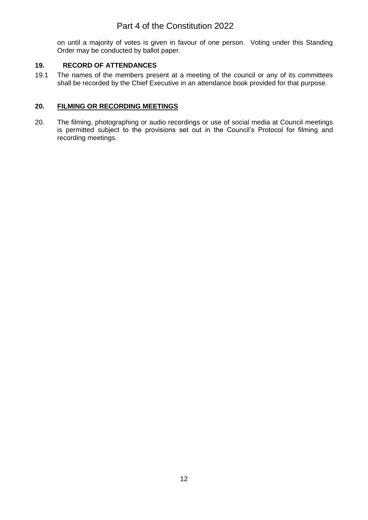on until a majority of votes is given in favour of one person. Voting under this Standing Order may be conducted by ballot paper.

## <span id="page-15-0"></span>**19. RECORD OF ATTENDANCES**

19.1 The names of the members present at a meeting of the council or any of its committees shall be recorded by the Chief Executive in an attendance book provided for that purpose.

## **20. FILMING OR RECORDING MEETINGS**

20. The filming, photographing or audio recordings or use of social media at Council meetings is permitted subject to the provisions set out in the Council's Protocol for filming and recording meetings.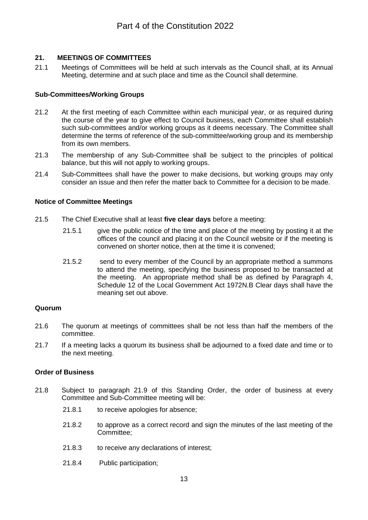## <span id="page-16-0"></span>**21. MEETINGS OF COMMITTEES**

21.1 Meetings of Committees will be held at such intervals as the Council shall, at its Annual Meeting, determine and at such place and time as the Council shall determine.

## <span id="page-16-1"></span>**Sub-Committees/Working Groups**

- 21.2 At the first meeting of each Committee within each municipal year, or as required during the course of the year to give effect to Council business, each Committee shall establish such sub-committees and/or working groups as it deems necessary. The Committee shall determine the terms of reference of the sub-committee/working group and its membership from its own members.
- 21.3 The membership of any Sub-Committee shall be subject to the principles of political balance, but this will not apply to working groups.
- 21.4 Sub-Committees shall have the power to make decisions, but working groups may only consider an issue and then refer the matter back to Committee for a decision to be made.

### <span id="page-16-2"></span>**Notice of Committee Meetings**

- 21.5 The Chief Executive shall at least **five clear days** before a meeting:
	- 21.5.1 give the public notice of the time and place of the meeting by posting it at the offices of the council and placing it on the Council website or if the meeting is convened on shorter notice, then at the time it is convened;
	- 21.5.2 send to every member of the Council by an appropriate method a summons to attend the meeting, specifying the business proposed to be transacted at the meeting. An appropriate method shall be as defined by Paragraph 4, Schedule 12 of the Local Government Act 1972N.B Clear days shall have the meaning set out above.

## <span id="page-16-3"></span>**Quorum**

- 21.6 The quorum at meetings of committees shall be not less than half the members of the committee.
- 21.7 If a meeting lacks a quorum its business shall be adjourned to a fixed date and time or to the next meeting.

## <span id="page-16-4"></span>**Order of Business**

- 21.8 Subject to paragraph 21.9 of this Standing Order, the order of business at every Committee and Sub-Committee meeting will be:
	- 21.8.1 to receive apologies for absence;
	- 21.8.2 to approve as a correct record and sign the minutes of the last meeting of the Committee;
	- 21.8.3 to receive any declarations of interest;
	- 21.8.4 Public participation;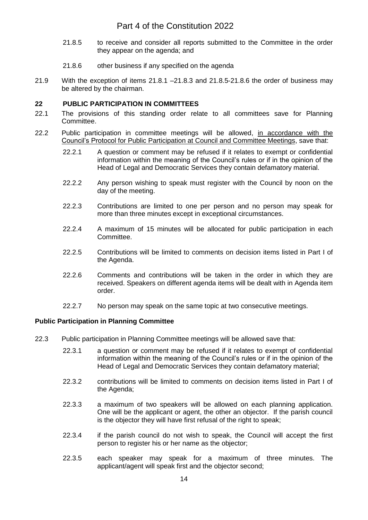- 21.8.5 to receive and consider all reports submitted to the Committee in the order they appear on the agenda; and
- 21.8.6 other business if any specified on the agenda
- 21.9 With the exception of items 21.8.1 –21.8.3 and 21.8.5-21.8.6 the order of business may be altered by the chairman.

## <span id="page-17-0"></span>**22 PUBLIC PARTICIPATION IN COMMITTEES**

- 22.1 The provisions of this standing order relate to all committees save for Planning Committee.
- 22.2 Public participation in committee meetings will be allowed, in accordance with the Council's Protocol for Public Participation at Council and Committee Meetings, save that:
	- 22.2.1 A question or comment may be refused if it relates to exempt or confidential information within the meaning of the Council's rules or if in the opinion of the Head of Legal and Democratic Services they contain defamatory material.
	- 22.2.2 Any person wishing to speak must register with the Council by noon on the day of the meeting.
	- 22.2.3 Contributions are limited to one per person and no person may speak for more than three minutes except in exceptional circumstances.
	- 22.2.4 A maximum of 15 minutes will be allocated for public participation in each Committee.
	- 22.2.5 Contributions will be limited to comments on decision items listed in Part I of the Agenda.
	- 22.2.6 Comments and contributions will be taken in the order in which they are received. Speakers on different agenda items will be dealt with in Agenda item order.
	- 22.2.7 No person may speak on the same topic at two consecutive meetings.

## <span id="page-17-1"></span>**Public Participation in Planning Committee**

- 22.3 Public participation in Planning Committee meetings will be allowed save that:
	- 22.3.1 a question or comment may be refused if it relates to exempt of confidential information within the meaning of the Council's rules or if in the opinion of the Head of Legal and Democratic Services they contain defamatory material;
	- 22.3.2 contributions will be limited to comments on decision items listed in Part I of the Agenda;
	- 22.3.3 a maximum of two speakers will be allowed on each planning application. One will be the applicant or agent, the other an objector. If the parish council is the objector they will have first refusal of the right to speak;
	- 22.3.4 if the parish council do not wish to speak, the Council will accept the first person to register his or her name as the objector;
	- 22.3.5 each speaker may speak for a maximum of three minutes. The applicant/agent will speak first and the objector second;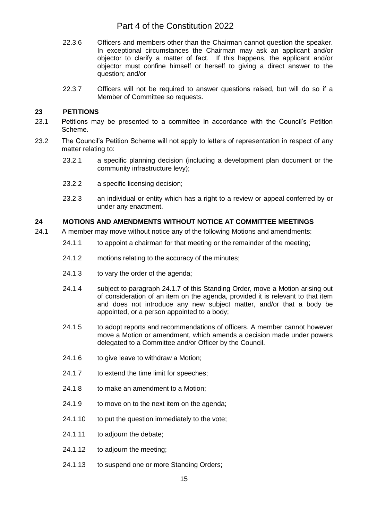- 22.3.6 Officers and members other than the Chairman cannot question the speaker. In exceptional circumstances the Chairman may ask an applicant and/or objector to clarify a matter of fact. If this happens, the applicant and/or objector must confine himself or herself to giving a direct answer to the question; and/or
- 22.3.7 Officers will not be required to answer questions raised, but will do so if a Member of Committee so requests.

## <span id="page-18-0"></span>**23 PETITIONS**

- 23.1 Petitions may be presented to a committee in accordance with the Council's Petition Scheme.
- 23.2 The Council's Petition Scheme will not apply to letters of representation in respect of any matter relating to:
	- 23.2.1 a specific planning decision (including a development plan document or the community infrastructure levy);
	- 23.2.2 a specific licensing decision;
	- 23.2.3 an individual or entity which has a right to a review or appeal conferred by or under any enactment.

## <span id="page-18-1"></span>**24 MOTIONS AND AMENDMENTS WITHOUT NOTICE AT COMMITTEE MEETINGS**

- 24.1 A member may move without notice any of the following Motions and amendments:
	- 24.1.1 to appoint a chairman for that meeting or the remainder of the meeting;
	- 24.1.2 motions relating to the accuracy of the minutes;
	- 24.1.3 to vary the order of the agenda;
	- 24.1.4 subject to paragraph 24.1.7 of this Standing Order, move a Motion arising out of consideration of an item on the agenda, provided it is relevant to that item and does not introduce any new subject matter, and/or that a body be appointed, or a person appointed to a body;
	- 24.1.5 to adopt reports and recommendations of officers. A member cannot however move a Motion or amendment, which amends a decision made under powers delegated to a Committee and/or Officer by the Council.
	- 24.1.6 to give leave to withdraw a Motion;
	- 24.1.7 to extend the time limit for speeches;
	- 24.1.8 to make an amendment to a Motion;
	- 24.1.9 to move on to the next item on the agenda;
	- 24.1.10 to put the question immediately to the vote;
	- 24.1.11 to adjourn the debate;
	- 24.1.12 to adjourn the meeting;
	- 24.1.13 to suspend one or more Standing Orders;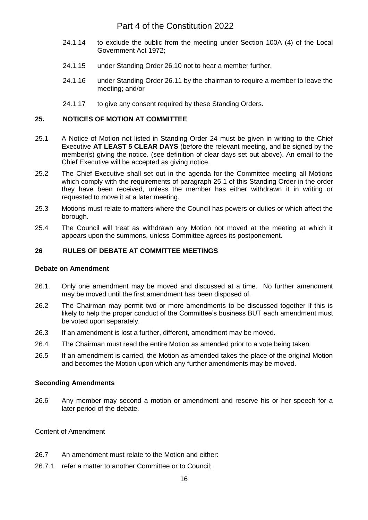- 24.1.14 to exclude the public from the meeting under Section 100A (4) of the Local Government Act 1972;
- 24.1.15 under Standing Order 26.10 not to hear a member further.
- 24.1.16 under Standing Order 26.11 by the chairman to require a member to leave the meeting; and/or
- 24.1.17 to give any consent required by these Standing Orders.

## <span id="page-19-0"></span>**25. NOTICES OF MOTION AT COMMITTEE**

- 25.1 A Notice of Motion not listed in Standing Order 24 must be given in writing to the Chief Executive **AT LEAST 5 CLEAR DAYS** (before the relevant meeting, and be signed by the member(s) giving the notice. (see definition of clear days set out above). An email to the Chief Executive will be accepted as giving notice.
- 25.2 The Chief Executive shall set out in the agenda for the Committee meeting all Motions which comply with the requirements of paragraph 25.1 of this Standing Order in the order they have been received, unless the member has either withdrawn it in writing or requested to move it at a later meeting.
- 25.3 Motions must relate to matters where the Council has powers or duties or which affect the borough.
- 25.4 The Council will treat as withdrawn any Motion not moved at the meeting at which it appears upon the summons, unless Committee agrees its postponement.

### <span id="page-19-1"></span>**26 RULES OF DEBATE AT COMMITTEE MEETINGS**

### <span id="page-19-2"></span>**Debate on Amendment**

- 26.1. Only one amendment may be moved and discussed at a time. No further amendment may be moved until the first amendment has been disposed of.
- 26.2 The Chairman may permit two or more amendments to be discussed together if this is likely to help the proper conduct of the Committee's business BUT each amendment must be voted upon separately.
- 26.3 If an amendment is lost a further, different, amendment may be moved.
- 26.4 The Chairman must read the entire Motion as amended prior to a vote being taken.
- 26.5 If an amendment is carried, the Motion as amended takes the place of the original Motion and becomes the Motion upon which any further amendments may be moved.

### <span id="page-19-3"></span>**Seconding Amendments**

26.6 Any member may second a motion or amendment and reserve his or her speech for a later period of the debate.

Content of Amendment

- 26.7 An amendment must relate to the Motion and either:
- 26.7.1 refer a matter to another Committee or to Council;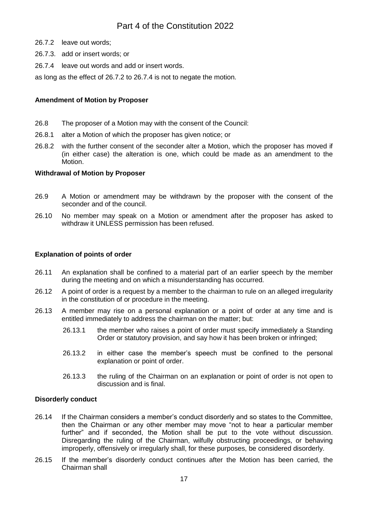- 26.7.2 leave out words;
- 26.7.3. add or insert words; or
- 26.7.4 leave out words and add or insert words.
- as long as the effect of 26.7.2 to 26.7.4 is not to negate the motion.

## **Amendment of Motion by Proposer**

- 26.8 The proposer of a Motion may with the consent of the Council:
- 26.8.1 alter a Motion of which the proposer has given notice; or
- 26.8.2 with the further consent of the seconder alter a Motion, which the proposer has moved if (in either case) the alteration is one, which could be made as an amendment to the Motion.

### **Withdrawal of Motion by Proposer**

- 26.9 A Motion or amendment may be withdrawn by the proposer with the consent of the seconder and of the council.
- 26.10 No member may speak on a Motion or amendment after the proposer has asked to withdraw it UNLESS permission has been refused.

## <span id="page-20-0"></span>**Explanation of points of order**

- 26.11 An explanation shall be confined to a material part of an earlier speech by the member during the meeting and on which a misunderstanding has occurred.
- 26.12 A point of order is a request by a member to the chairman to rule on an alleged irregularity in the constitution of or procedure in the meeting.
- 26.13 A member may rise on a personal explanation or a point of order at any time and is entitled immediately to address the chairman on the matter; but:
	- 26.13.1 the member who raises a point of order must specify immediately a Standing Order or statutory provision, and say how it has been broken or infringed;
	- 26.13.2 in either case the member's speech must be confined to the personal explanation or point of order.
	- 26.13.3 the ruling of the Chairman on an explanation or point of order is not open to discussion and is final.

## <span id="page-20-1"></span>**Disorderly conduct**

- 26.14 If the Chairman considers a member's conduct disorderly and so states to the Committee, then the Chairman or any other member may move "not to hear a particular member further" and if seconded, the Motion shall be put to the vote without discussion. Disregarding the ruling of the Chairman, wilfully obstructing proceedings, or behaving improperly, offensively or irregularly shall, for these purposes, be considered disorderly.
- 26.15 If the member's disorderly conduct continues after the Motion has been carried, the Chairman shall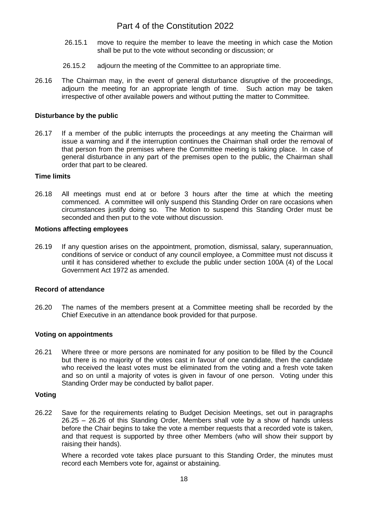- 26.15.1 move to require the member to leave the meeting in which case the Motion shall be put to the vote without seconding or discussion; or
- 26.15.2 adjourn the meeting of the Committee to an appropriate time.
- 26.16 The Chairman may, in the event of general disturbance disruptive of the proceedings, adjourn the meeting for an appropriate length of time. Such action may be taken irrespective of other available powers and without putting the matter to Committee.

### <span id="page-21-0"></span>**Disturbance by the public**

26.17 If a member of the public interrupts the proceedings at any meeting the Chairman will issue a warning and if the interruption continues the Chairman shall order the removal of that person from the premises where the Committee meeting is taking place. In case of general disturbance in any part of the premises open to the public, the Chairman shall order that part to be cleared.

### <span id="page-21-1"></span>**Time limits**

26.18 All meetings must end at or before 3 hours after the time at which the meeting commenced. A committee will only suspend this Standing Order on rare occasions when circumstances justify doing so. The Motion to suspend this Standing Order must be seconded and then put to the vote without discussion.

### <span id="page-21-2"></span>**Motions affecting employees**

26.19 If any question arises on the appointment, promotion, dismissal, salary, superannuation, conditions of service or conduct of any council employee, a Committee must not discuss it until it has considered whether to exclude the public under section 100A (4) of the Local Government Act 1972 as amended.

## <span id="page-21-3"></span>**Record of attendance**

26.20 The names of the members present at a Committee meeting shall be recorded by the Chief Executive in an attendance book provided for that purpose.

### <span id="page-21-4"></span>**Voting on appointments**

26.21 Where three or more persons are nominated for any position to be filled by the Council but there is no majority of the votes cast in favour of one candidate, then the candidate who received the least votes must be eliminated from the voting and a fresh vote taken and so on until a majority of votes is given in favour of one person. Voting under this Standing Order may be conducted by ballot paper.

### <span id="page-21-5"></span>**Voting**

26.22 Save for the requirements relating to Budget Decision Meetings, set out in paragraphs 26.25 – 26.26 of this Standing Order, Members shall vote by a show of hands unless before the Chair begins to take the vote a member requests that a recorded vote is taken, and that request is supported by three other Members (who will show their support by raising their hands).

Where a recorded vote takes place pursuant to this Standing Order, the minutes must record each Members vote for, against or abstaining.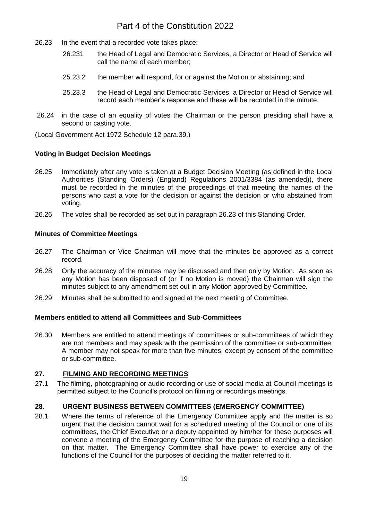- 26.23 In the event that a recorded vote takes place:
	- 26.231 the Head of Legal and Democratic Services, a Director or Head of Service will call the name of each member;
	- 25.23.2 the member will respond, for or against the Motion or abstaining; and
	- 25.23.3 the Head of Legal and Democratic Services, a Director or Head of Service will record each member's response and these will be recorded in the minute.
- 26.24 in the case of an equality of votes the Chairman or the person presiding shall have a second or casting vote.

(Local Government Act 1972 Schedule 12 para.39.)

### <span id="page-22-0"></span>**Voting in Budget Decision Meetings**

- 26.25 Immediately after any vote is taken at a Budget Decision Meeting (as defined in the Local Authorities (Standing Orders) (England) Regulations 2001/3384 (as amended)), there must be recorded in the minutes of the proceedings of that meeting the names of the persons who cast a vote for the decision or against the decision or who abstained from voting.
- 26.26 The votes shall be recorded as set out in paragraph 26.23 of this Standing Order.

## <span id="page-22-1"></span>**Minutes of Committee Meetings**

- 26.27 The Chairman or Vice Chairman will move that the minutes be approved as a correct record.
- 26.28 Only the accuracy of the minutes may be discussed and then only by Motion. As soon as any Motion has been disposed of (or if no Motion is moved) the Chairman will sign the minutes subject to any amendment set out in any Motion approved by Committee.
- 26.29 Minutes shall be submitted to and signed at the next meeting of Committee.

### <span id="page-22-2"></span>**Members entitled to attend all Committees and Sub-Committees**

26.30 Members are entitled to attend meetings of committees or sub-committees of which they are not members and may speak with the permission of the committee or sub-committee. A member may not speak for more than five minutes, except by consent of the committee or sub-committee.

## <span id="page-22-3"></span>**27. FILMING AND RECORDING MEETINGS**

27.1 The filming, photographing or audio recording or use of social media at Council meetings is permitted subject to the Council's protocol on filming or recordings meetings.

## <span id="page-22-4"></span>**28. URGENT BUSINESS BETWEEN COMMITTEES (EMERGENCY COMMITTEE)**

28.1 Where the terms of reference of the Emergency Committee apply and the matter is so urgent that the decision cannot wait for a scheduled meeting of the Council or one of its committees, the Chief Executive or a deputy appointed by him/her for these purposes will convene a meeting of the Emergency Committee for the purpose of reaching a decision on that matter. The Emergency Committee shall have power to exercise any of the functions of the Council for the purposes of deciding the matter referred to it.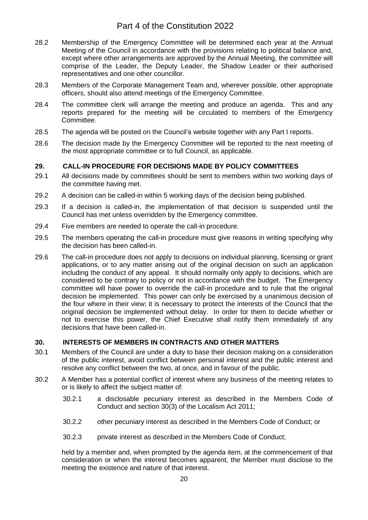- 28.2 Membership of the Emergency Committee will be determined each year at the Annual Meeting of the Council in accordance with the provisions relating to political balance and, except where other arrangements are approved by the Annual Meeting, the committee will comprise of the Leader, the Deputy Leader, the Shadow Leader or their authorised representatives and one other councillor.
- 28.3 Members of the Corporate Management Team and, wherever possible, other appropriate officers, should also attend meetings of the Emergency Committee.
- 28.4 The committee clerk will arrange the meeting and produce an agenda. This and any reports prepared for the meeting will be circulated to members of the Emergency Committee.
- 28.5 The agenda will be posted on the Council's website together with any Part I reports.
- 28.6 The decision made by the Emergency Committee will be reported to the next meeting of the most appropriate committee or to full Council, as applicable.

## <span id="page-23-0"></span>**29. CALL-IN PROCEDURE FOR DECISIONS MADE BY POLICY COMMITTEES**

- 29.1 All decisions made by committees should be sent to members within two working days of the committee having met.
- 29.2 A decision can be called-in within 5 working days of the decision being published.
- 29.3 If a decision is called-in, the implementation of that decision is suspended until the Council has met unless overridden by the Emergency committee.
- 29.4 Five members are needed to operate the call-in procedure.
- 29.5 The members operating the call-in procedure must give reasons in writing specifying why the decision has been called-in.
- 29.6 The call-in procedure does not apply to decisions on individual planning, licensing or grant applications, or to any matter arising out of the original decision on such an application including the conduct of any appeal. It should normally only apply to decisions, which are considered to be contrary to policy or not in accordance with the budget. The Emergency committee will have power to override the call-in procedure and to rule that the original decision be implemented. This power can only be exercised by a unanimous decision of the four where in their view; it is necessary to protect the interests of the Council that the original decision be implemented without delay. In order for them to decide whether or not to exercise this power, the Chief Executive shall notify them immediately of any decisions that have been called-in.

## <span id="page-23-1"></span>**30. INTERESTS OF MEMBERS IN CONTRACTS AND OTHER MATTERS**

- 30.1 Members of the Council are under a duty to base their decision making on a consideration of the public interest, avoid conflict between personal interest and the public interest and resolve any conflict between the two, at once, and in favour of the public.
- 30.2 A Member has a potential conflict of interest where any business of the meeting relates to or is likely to affect the subject matter of:
	- 30.2.1 a disclosable pecuniary interest as described in the Members Code of Conduct and section 30(3) of the Localism Act 2011;
	- 30.2.2 other pecuniary interest as described in the Members Code of Conduct; or
	- 30.2.3 private interest as described in the Members Code of Conduct;

held by a member and, when prompted by the agenda item, at the commencement of that consideration or when the interest becomes apparent, the Member must disclose to the meeting the existence and nature of that interest.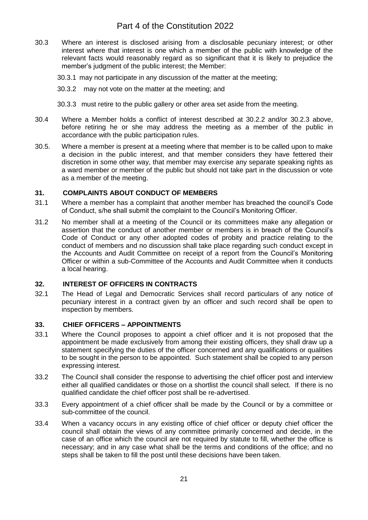- 30.3 Where an interest is disclosed arising from a disclosable pecuniary interest; or other interest where that interest is one which a member of the public with knowledge of the relevant facts would reasonably regard as so significant that it is likely to prejudice the member's judgment of the public interest; the Member:
	- 30.3.1 may not participate in any discussion of the matter at the meeting;
	- 30.3.2 may not vote on the matter at the meeting; and
	- 30.3.3 must retire to the public gallery or other area set aside from the meeting.
- 30.4 Where a Member holds a conflict of interest described at 30.2.2 and/or 30.2.3 above, before retiring he or she may address the meeting as a member of the public in accordance with the public participation rules.
- 30.5. Where a member is present at a meeting where that member is to be called upon to make a decision in the public interest, and that member considers they have fettered their discretion in some other way, that member may exercise any separate speaking rights as a ward member or member of the public but should not take part in the discussion or vote as a member of the meeting.

## <span id="page-24-0"></span>**31. COMPLAINTS ABOUT CONDUCT OF MEMBERS**

- 31.1 Where a member has a complaint that another member has breached the council's Code of Conduct, s/he shall submit the complaint to the Council's Monitoring Officer.
- 31.2 No member shall at a meeting of the Council or its committees make any allegation or assertion that the conduct of another member or members is in breach of the Council's Code of Conduct or any other adopted codes of probity and practice relating to the conduct of members and no discussion shall take place regarding such conduct except in the Accounts and Audit Committee on receipt of a report from the Council's Monitoring Officer or within a sub-Committee of the Accounts and Audit Committee when it conducts a local hearing.

## <span id="page-24-1"></span>**32. INTEREST OF OFFICERS IN CONTRACTS**

32.1 The Head of Legal and Democratic Services shall record particulars of any notice of pecuniary interest in a contract given by an officer and such record shall be open to inspection by members.

## <span id="page-24-2"></span>**33. CHIEF OFFICERS – APPOINTMENTS**

- 33.1 Where the Council proposes to appoint a chief officer and it is not proposed that the appointment be made exclusively from among their existing officers, they shall draw up a statement specifying the duties of the officer concerned and any qualifications or qualities to be sought in the person to be appointed. Such statement shall be copied to any person expressing interest.
- 33.2 The Council shall consider the response to advertising the chief officer post and interview either all qualified candidates or those on a shortlist the council shall select. If there is no qualified candidate the chief officer post shall be re-advertised.
- 33.3 Every appointment of a chief officer shall be made by the Council or by a committee or sub-committee of the council.
- 33.4 When a vacancy occurs in any existing office of chief officer or deputy chief officer the council shall obtain the views of any committee primarily concerned and decide, in the case of an office which the council are not required by statute to fill, whether the office is necessary; and in any case what shall be the terms and conditions of the office; and no steps shall be taken to fill the post until these decisions have been taken.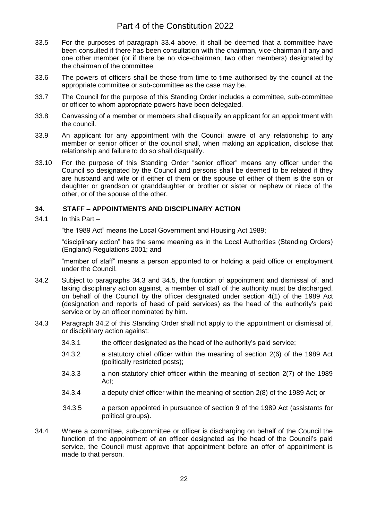- 33.5 For the purposes of paragraph 33.4 above, it shall be deemed that a committee have been consulted if there has been consultation with the chairman, vice-chairman if any and one other member (or if there be no vice-chairman, two other members) designated by the chairman of the committee.
- 33.6 The powers of officers shall be those from time to time authorised by the council at the appropriate committee or sub-committee as the case may be.
- 33.7 The Council for the purpose of this Standing Order includes a committee, sub-committee or officer to whom appropriate powers have been delegated.
- 33.8 Canvassing of a member or members shall disqualify an applicant for an appointment with the council.
- 33.9 An applicant for any appointment with the Council aware of any relationship to any member or senior officer of the council shall, when making an application, disclose that relationship and failure to do so shall disqualify.
- 33.10 For the purpose of this Standing Order "senior officer" means any officer under the Council so designated by the Council and persons shall be deemed to be related if they are husband and wife or if either of them or the spouse of either of them is the son or daughter or grandson or granddaughter or brother or sister or nephew or niece of the other, or of the spouse of the other.

## <span id="page-25-0"></span>**34. STAFF – APPOINTMENTS AND DISCIPLINARY ACTION**

34.1 In this Part –

"the 1989 Act" means the Local Government and Housing Act 1989;

"disciplinary action" has the same meaning as in the Local Authorities (Standing Orders) (England) Regulations 2001; and

"member of staff" means a person appointed to or holding a paid office or employment under the Council.

- 34.2 Subject to paragraphs 34.3 and 34.5, the function of appointment and dismissal of, and taking disciplinary action against, a member of staff of the authority must be discharged, on behalf of the Council by the officer designated under section 4(1) of the 1989 Act (designation and reports of head of paid services) as the head of the authority's paid service or by an officer nominated by him.
- 34.3 Paragraph 34.2 of this Standing Order shall not apply to the appointment or dismissal of, or disciplinary action against:
	- 34.3.1 the officer designated as the head of the authority's paid service;
	- 34.3.2 a statutory chief officer within the meaning of section 2(6) of the 1989 Act (politically restricted posts);
	- 34.3.3 a non-statutory chief officer within the meaning of section 2(7) of the 1989 Act;
	- 34.3.4 a deputy chief officer within the meaning of section 2(8) of the 1989 Act; or
	- 34.3.5 a person appointed in pursuance of section 9 of the 1989 Act (assistants for political groups).
- 34.4 Where a committee, sub-committee or officer is discharging on behalf of the Council the function of the appointment of an officer designated as the head of the Council's paid service, the Council must approve that appointment before an offer of appointment is made to that person.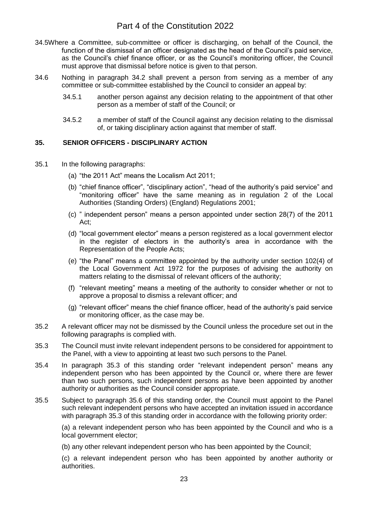- 34.5Where a Committee, sub-committee or officer is discharging, on behalf of the Council, the function of the dismissal of an officer designated as the head of the Council's paid service, as the Council's chief finance officer, or as the Council's monitoring officer, the Council must approve that dismissal before notice is given to that person.
- 34.6 Nothing in paragraph 34.2 shall prevent a person from serving as a member of any committee or sub-committee established by the Council to consider an appeal by:
	- 34.5.1 another person against any decision relating to the appointment of that other person as a member of staff of the Council; or
	- 34.5.2 a member of staff of the Council against any decision relating to the dismissal of, or taking disciplinary action against that member of staff.

## <span id="page-26-0"></span>**35. SENIOR OFFICERS - DISCIPLINARY ACTION**

- 35.1 In the following paragraphs:
	- (a) "the 2011 Act" means the Localism Act 2011;
	- (b) "chief finance officer", "disciplinary action", "head of the authority's paid service" and "monitoring officer" have the same meaning as in regulation 2 of the Local Authorities (Standing Orders) (England) Regulations 2001;
	- (c) " independent person" means a person appointed under section 28(7) of the 2011 Act;
	- (d) "local government elector" means a person registered as a local government elector in the register of electors in the authority's area in accordance with the Representation of the People Acts;
	- (e) "the Panel" means a committee appointed by the authority under section 102(4) of the Local Government Act 1972 for the purposes of advising the authority on matters relating to the dismissal of relevant officers of the authority;
	- (f) "relevant meeting" means a meeting of the authority to consider whether or not to approve a proposal to dismiss a relevant officer; and
	- (g) "relevant officer" means the chief finance officer, head of the authority's paid service or monitoring officer, as the case may be.
- 35.2 A relevant officer may not be dismissed by the Council unless the procedure set out in the following paragraphs is complied with.
- 35.3 The Council must invite relevant independent persons to be considered for appointment to the Panel, with a view to appointing at least two such persons to the Panel.
- 35.4 In paragraph 35.3 of this standing order "relevant independent person" means any independent person who has been appointed by the Council or, where there are fewer than two such persons, such independent persons as have been appointed by another authority or authorities as the Council consider appropriate.
- 35.5 Subject to paragraph 35.6 of this standing order, the Council must appoint to the Panel such relevant independent persons who have accepted an invitation issued in accordance with paragraph 35.3 of this standing order in accordance with the following priority order:

(a) a relevant independent person who has been appointed by the Council and who is a local government elector;

(b) any other relevant independent person who has been appointed by the Council;

(c) a relevant independent person who has been appointed by another authority or authorities.